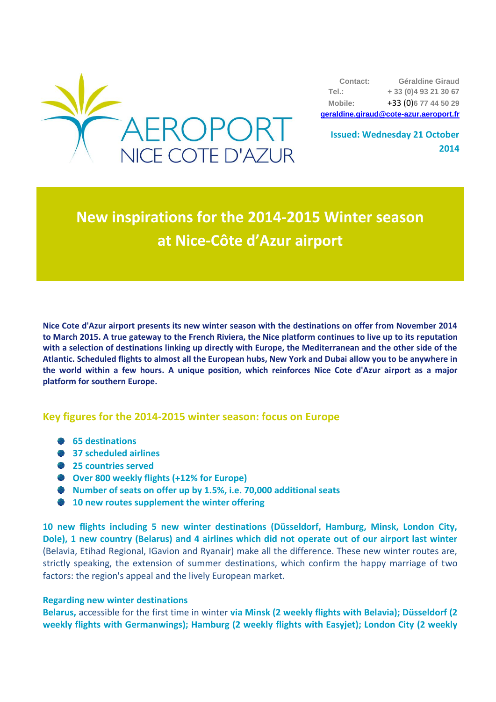

**Contact: Géraldine Giraud Tel.: + 33 (0)4 93 21 30 67 Mobile:** +33 (0)**6 77 44 50 29 [geraldine.giraud@cote-azur.aeroport.fr](mailto:geraldine.giraud@cote-azur.aeroport.fr)**

**Issued: Wednesday 21 October 2014**

# **New inspirations for the 2014-2015 Winter season at Nice-Côte d'Azur airport**

**Nice Cote d'Azur airport presents its new winter season with the destinations on offer from November 2014 to March 2015. A true gateway to the French Riviera, the Nice platform continues to live up to its reputation with a selection of destinations linking up directly with Europe, the Mediterranean and the other side of the Atlantic. Scheduled flights to almost all the European hubs, New York and Dubai allow you to be anywhere in the world within a few hours. A unique position, which reinforces Nice Cote d'Azur airport as a major platform for southern Europe.**

## **Key figures for the 2014-2015 winter season: focus on Europe**

- **65 destinations**
- **37 scheduled airlines**
- $25$  **countries served**
- **Over 800 weekly flights (+12% for Europe)**
- **Number of seats on offer up by 1.5%, i.e. 70,000 additional seats**
- **10 new routes supplement the winter offering**

**10 new flights including 5 new winter destinations (Düsseldorf, Hamburg, Minsk, London City, Dole), 1 new country (Belarus) and 4 airlines which did not operate out of our airport last winter** (Belavia, Etihad Regional, IGavion and Ryanair) make all the difference. These new winter routes are, strictly speaking, the extension of summer destinations, which confirm the happy marriage of two factors: the region's appeal and the lively European market.

#### **Regarding new winter destinations**

**Belarus,** accessible for the first time in winter **via Minsk (2 weekly flights with Belavia); Düsseldorf (2 weekly flights with Germanwings); Hamburg (2 weekly flights with Easyjet); London City (2 weekly**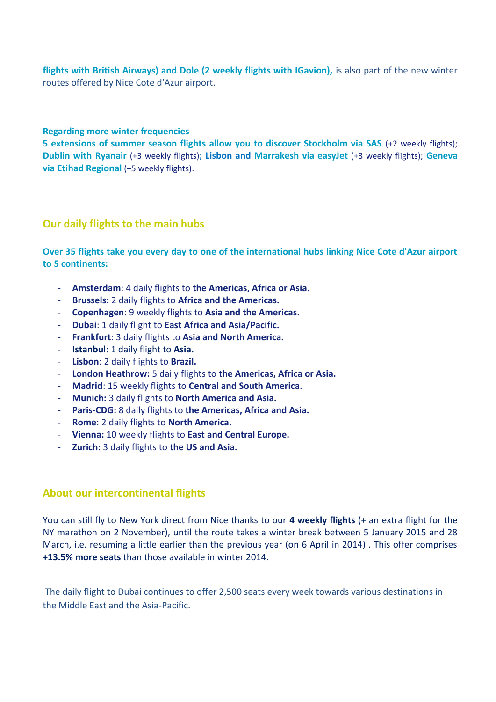flights with British Airways) and Dole (2 weekly flights with IGavion), is also part of the new winter routes offered by Nice Cote d'Azur airport.

#### **Regarding more winter frequencies**

**5 extensions of summer season flights allow you to discover Stockholm via SAS** (+2 weekly flights); **Dublin with Ryanair** (+3 weekly flights)**; Lisbon and Marrakesh via easyJet** (+3 weekly flights); **Geneva via Etihad Regional** (+5 weekly flights).

#### **Our daily flights to the main hubs**

**Over 35 flights take you every day to one of the international hubs linking Nice Cote d'Azur airport to 5 continents:**

- **Amsterdam**: 4 daily flights to **the Americas, Africa or Asia.**
- **Brussels:** 2 daily flights to **Africa and the Americas.**
- **Copenhagen**: 9 weekly flights to **Asia and the Americas.**
- **Dubai**: 1 daily flight to **East Africa and Asia/Pacific.**
- **Frankfurt**: 3 daily flights to **Asia and North America.**
- **Istanbul:** 1 daily flight to **Asia.**
- **Lisbon**: 2 daily flights to **Brazil.**
- **London Heathrow:** 5 daily flights to **the Americas, Africa or Asia.**
- **Madrid**: 15 weekly flights to **Central and South America.**
- **Munich:** 3 daily flights to **North America and Asia.**
- **Paris-CDG:** 8 daily flights to **the Americas, Africa and Asia.**
- **Rome**: 2 daily flights to **North America.**
- **Vienna:** 10 weekly flights to **East and Central Europe.**
- **Zurich:** 3 daily flights to **the US and Asia.**

## **About our intercontinental flights**

You can still fly to New York direct from Nice thanks to our **4 weekly flights** (+ an extra flight for the NY marathon on 2 November), until the route takes a winter break between 5 January 2015 and 28 March, i.e. resuming a little earlier than the previous year (on 6 April in 2014) . This offer comprises **+13.5% more seats** than those available in winter 2014.

The daily flight to Dubai continues to offer 2,500 seats every week towards various destinations in the Middle East and the Asia-Pacific.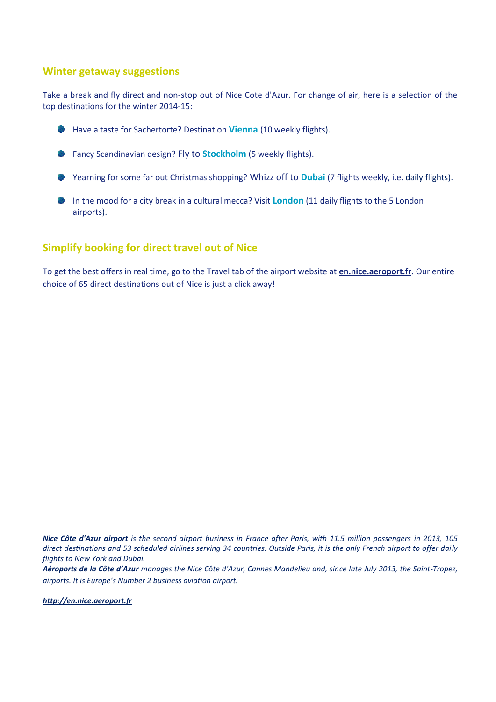#### **Winter getaway suggestions**

Take a break and fly direct and non-stop out of Nice Cote d'Azur. For change of air, here is a selection of the top destinations for the winter 2014-15:



- **Fancy Scandinavian design? Fly to Stockholm** (5 weekly flights).
- Yearning for some far out Christmas shopping? Whizz off to **Dubai** (7 flights weekly, i.e. daily flights).
- In the mood for a city break in a cultural mecca? Visit **London** (11 daily flights to the 5 London airports).

## **Simplify booking for direct travel out of Nice**

To get the best offers in real time, go to the Travel tab of the airport website at **[en.nice.aeroport.fr.](http://en.nice.aeroport.fr/)** Our entire choice of 65 direct destinations out of Nice is just a click away!

*Nice Côte d'Azur airport is the second airport business in France after Paris, with 11.5 million passengers in 2013, 105 direct destinations and 53 scheduled airlines serving 34 countries. Outside Paris, it is the only French airport to offer daily flights to New York and Dubai.*

*Aéroports de la Côte d'Azur manages the Nice Côte d'Azur, Cannes Mandelieu and, since late July 2013, the Saint-Tropez, airports. It is Europe's Number 2 business aviation airport.*

*[http://en.nice.aeroport.fr](http://en.nice.aeroport.fr/)*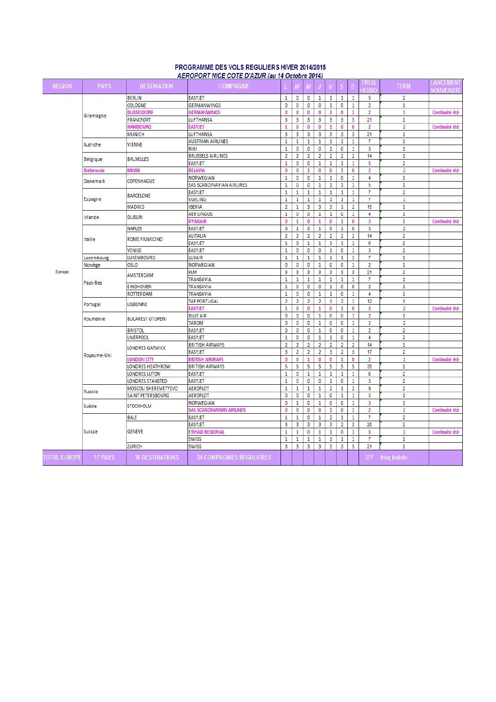| <b>REGION</b>       | <b>PAYS</b>          | <b>DESTINATION</b>             | ALINOPONT MOL OUTLID ALON (88.14 OCCOMO 2014)<br><b>COMPAGNIE</b> | L                       | M              | М              | J                       | V                       | $\overline{\mathbf{s}}$ | D              | FREQ<br><b>IEBDO</b>      | TERM.                   | LANCEMENT<br><b>NOUVEAUTE</b> |
|---------------------|----------------------|--------------------------------|-------------------------------------------------------------------|-------------------------|----------------|----------------|-------------------------|-------------------------|-------------------------|----------------|---------------------------|-------------------------|-------------------------------|
|                     |                      | BERLIN                         | <b>EASYJET</b>                                                    | $\mathbf{1}$            | $\bf{0}$       | $\theta$       | $\mathbf{1}$            | $\mathbf{1}$            | $\mathbf{1}$            | $\mathbf{1}$   | 5                         | $\overline{2}$          |                               |
|                     |                      | COLOGNE                        | <b>GERMANWINGS</b>                                                | 0                       | 0              | $\mathbf 0$    | $\mathbf{0}$            | $\mathbf{1}$            | $\circ$                 | $\mathbf{1}$   | $\overline{2}$            | $\mathbf{1}$            |                               |
|                     |                      | <b>DUSSELDORF</b>              | <b>GERMANWINGS</b>                                                | 0                       | 0              | $\bf{0}$       | $\bf{0}$                | $\mathbf{1}$            | $\bf{0}$                | $\mathbf{1}$   | $\overline{2}$            | $\mathbf{1}$            | Continuité été                |
|                     | Allemagne            | FRANCFORT                      | LUFTHANSA                                                         | 3                       | 3              | $\overline{3}$ | $\mathbf{3}$            | $\overline{3}$          | $_{3}$                  | $\overline{3}$ | 21                        | $1\,$                   |                               |
|                     |                      | <b>HAMBOURG</b>                | <b>EASYJET</b>                                                    | $\mathbf{1}$            | $\bf{0}$       | $\bf{0}$       | 0                       | $\mathbf{1}$            | $\bullet$               | $\bf{0}$       | $\overline{2}$            | $\overline{2}$          | Continuité été                |
|                     |                      | MUNICH                         | LUFTHANSA                                                         | $\overline{\mathbf{3}}$ | 3              | $\overline{3}$ | $\overline{3}$          | $\overline{3}$          | $\overline{\mathbf{3}}$ | $\overline{3}$ | 21                        | $\mathbf{1}$            |                               |
|                     |                      |                                | <b>AUSTRIAN AIRLINES</b>                                          | $\mathbf{1}$            | $\mathbf{1}$   | $\mathbf{1}$   | $\,1\,$                 | $\mathbf{1}$            | $\mathbf{1}$            | $\mathbf{1}$   | $\overline{\mathfrak{c}}$ | $\,1$                   |                               |
|                     | Autriche             | VIENNE                         | NIKI                                                              | $1\,$                   | 0              | 0              | $\mathbf{0}$            | $\mathbf{1}$            | $\mathbb O$             | $\mathbf{1}$   | 3                         | $1\,$                   |                               |
|                     | Belgique             |                                | BRUSSELS AIRLINES                                                 | $\overline{2}$          | $\overline{2}$ | $\overline{2}$ | $\overline{2}$          | $\overline{2}$          | $\overline{2}$          | $\overline{2}$ | 14                        | $1\,$                   |                               |
|                     |                      | <b>BRUXELLES</b>               | EASYJET                                                           | $\mathbf{1}$            | 0              | $\mathbf{0}$   | $\mathbf{1}$            | $\mathbf{1}$            | $\mathbf{1}$            | $\mathbf{1}$   | 5                         | $\overline{2}$          |                               |
|                     | <b>Biélorussie</b>   | MINSK                          | <b>BELAVIA</b>                                                    | $\bf{0}$                | $\bf{0}$       | 1              | $\bf{0}$                | $\bf{0}$                | $\mathbf{1}$            | $\bf{0}$       | $\overline{2}$            | $\overline{2}$          | Continuité été                |
|                     |                      |                                | NORWEGIAN                                                         | $\mathbf{1}$            | 0              | 0              | $\,1\,$                 | $\,1\,$                 | 0                       | $\mathbf 1$    | $\overline{4}$            | $1\,$                   |                               |
|                     | Danemark             | COPENHAGUE                     | SAS SCANDINAVIAN AIRLINES                                         | $\,1\,$                 | 0              | 0              | $\,1\,$                 | $\mathbf{1}$            | $1\,$                   | $1\,$          | 5                         | $\,1$                   |                               |
|                     |                      |                                | EASYJET                                                           | $\mathbf{1}$            | $\mathbf{1}$   | $1\,$          | $\mathbf{1}$            | $\mathbf{1}$            | $\mathbf{1}$            | $\mathbf{1}$   | $\overline{\mathfrak{r}}$ | $\overline{2}$          |                               |
|                     | Espagne              | BARCELONE                      | VUELING                                                           | $\mathbf{1}$            | $\mathbf{1}$   | $\mathbf{1}$   | $\mathbf{1}$            | $\mathbf{1}$            | $\mathbf{1}$            | $\mathbf{1}$   | $\overline{7}$            | $\mathbf{1}$            |                               |
|                     |                      | MADRID                         | <b>IBERIA</b>                                                     | $\overline{2}$          | $\mathbf{1}$   | $\mathbf{3}$   | $\mathbf{3}$            | $\overline{\mathbf{3}}$ | $\mathbf{1}$            | $\overline{2}$ | 15                        | $\mathbf{1}$            |                               |
|                     |                      |                                | <b>AER LINGUS</b>                                                 | $\mathbf{1}$            | $\bf 0$        | 0              | $\,1\,$                 | $\,1\,$                 | 0                       | $\mathbf 1$    | $\overline{4}$            | $1\,$                   |                               |
|                     | Irlande              | <b>DUBLIN</b>                  |                                                                   | $\mathbf{0}$            | $\mathbf{1}$   | $\bf{0}$       | $\mathbf{1}$            | $\bf{0}$                | $\mathbf{1}$            | $\bf{0}$       | $\overline{\mathbf{3}}$   | $\mathbf{1}$            | Continuité été                |
|                     |                      |                                | <b>RYANAIR</b>                                                    |                         |                |                | $\,1\,$                 |                         |                         |                | 3                         |                         |                               |
|                     |                      | NAPLES                         | EASYJET                                                           | $\mathbf 0$             | $\,1\,$        | $\mathbf 0$    |                         | $\mathsf{O}$            | $\,1\,$                 | $\mathbf 0$    |                           | $\sqrt{2}$              |                               |
|                     | Italie               | ROME FIUMICINO                 | ALITALIA                                                          | $\overline{2}$          | $\overline{2}$ | $\overline{2}$ | $\sqrt{2}$              | $\mathbf 2$             | $\sqrt{2}$              | $\overline{2}$ | 14                        | $\overline{\mathbf{c}}$ |                               |
|                     |                      |                                | EASYJET                                                           | $\mathbf{1}$            | $\overline{0}$ | $\mathbf{1}$   | $\,1\,$                 | $\mathbf{1}$            | $\mathbf{1}$            | $\mathbf{1}$   | 6                         | $\overline{c}$          |                               |
|                     |                      | VENISE                         | EASYJET                                                           | $\mathbf{1}$            | $\overline{0}$ | 0              | 0                       | $1\,$                   | $\mathbf{0}$            | $1\,$          | 3                         | $\overline{2}$          |                               |
| <b>Europe</b>       | Luxembourg           | LUXEMBOURG                     | LUXAIR                                                            | $1\,$                   | $\,1\,$        | $1\,$          | $\mathbf{1}$            | $\mathbf{1}$            | $\mathbf{1}$            | $\mathbf{1}$   | $\overline{7}$            | $\mathbf{1}$            |                               |
|                     | Norvège              | OSLO                           | NORWEGIAN                                                         | 0                       | 0              | $\bf 0$        | $\mathbf{1}$            | 0                       | $\mathbb O$             | $\mathbf{1}$   | $\overline{2}$            | $\,1\,$                 |                               |
|                     | Pays-Bas<br>Portugal | AMSTERDAM                      | KLM                                                               | $\overline{\mathbf{3}}$ | 3              | $\overline{3}$ | 3                       | $\overline{\mathbf{3}}$ | $\overline{\mathbf{3}}$ | $\overline{3}$ | 21                        | $\overline{2}$          |                               |
|                     |                      |                                | TRANSAVIA                                                         | $\mathbf{1}$            | $\,1\,$        | $1\,$          | $1\,$                   | $\mathbf{1}$            | $\mathbf{1}$            | $\mathbf{1}$   | $\overline{7}$            | $\mathbf{1}$            |                               |
|                     |                      | EINDHOVEN                      | TRANSAVIA                                                         | $\mathbf{1}$            | 0              | 0              | 0                       | $1\,$                   | 0                       | $\mathbf 0$    | $\sqrt{2}$                | $\,1\,$                 |                               |
|                     |                      | ROTTERDAM                      | TRANSAVIA                                                         | $1\,$                   | 0              | $\theta$       | $1\,$                   | $\mathbf{1}$            | $\mathbb O$             | $\mathbf{1}$   | $\overline{4}$            | $1\,$                   |                               |
|                     |                      | LISBONNE                       | <b>TAP PORTUGAL</b>                                               | $\overline{2}$          | $\overline{2}$ | $\overline{2}$ | $\overline{2}$          | $\mathbf{1}$            | $\overline{2}$          | $\mathbf{1}$   | 12                        | $\mathbf{1}$            |                               |
|                     |                      |                                | <b>EASYJET</b>                                                    | $\mathbf{1}$            | 0              | 0              | $\mathbf{1}$            | 0                       | 1                       | $\bf{0}$       | 3                         | $\overline{2}$          | Continuité été                |
|                     | Roumanie             | <b>BUCAREST OTOPENI</b>        | <b>BLUE AIR</b>                                                   | 0                       | 0              | 0              | $1\,$                   | 0                       | $\circ$                 | $1\,$          | $\overline{2}$            | $1\,$                   |                               |
|                     |                      |                                | TAROM                                                             | $\mathbf{0}$            | 0              | 0              | $\,1\,$                 | 0                       | 0                       | $\mathbf{1}$   | $\overline{c}$            | $\overline{2}$          |                               |
|                     |                      | <b>BRISTOL</b>                 | EASYJET                                                           | 0                       | 0              | $\bf 0$        | $\,1\,$                 | 0                       | $\mathbb O$             | $\mathbf{1}$   | $\overline{2}$            | $\overline{2}$          |                               |
|                     |                      | LIVERPOOL                      | EASYJET                                                           | $\mathbf{1}$            | $\bf 0$        | $\bf 0$        | $1\,$                   | $\mathbf{1}$            | $\mathbb O$             | $1\,$          | $\overline{4}$            | $\overline{2}$          |                               |
|                     |                      | LONDRES GATWICK                | <b>BRITISH AIRWAYS</b>                                            | $\overline{2}$          | $\overline{2}$ | $\overline{2}$ | $\overline{2}$          | $\overline{2}$          | $\overline{2}$          | $\overline{2}$ | 14                        | $\mathbf{1}$            |                               |
|                     | Royaume-Uni          |                                | EASYJET                                                           | 3                       | $\overline{2}$ | $\overline{2}$ | $\overline{2}$          | 3                       | $\overline{2}$          | $\mathbf{3}$   | 17                        | $\overline{2}$          |                               |
|                     |                      | LONDON CITY                    | <b>BRITISH AIRWAYS</b>                                            | o                       | 0              | $\mathbf{1}$   | $\bf{0}$                | $\bf{0}$                | 1                       | $\bf{0}$       | $\overline{2}$            | $\mathbf{1}$            | Continuité été                |
|                     |                      | LONDRES HEATHROW               | <b>BRITISH AIRWAYS</b>                                            | 5                       | 5              | 5              | 5                       | 5                       | 5                       | 5              | 35                        | $\,1$                   |                               |
|                     |                      | LONDRES LUTON                  | EASYJET                                                           | $\mathbf{1}$            | $\overline{0}$ | $\mathbf{1}$   | $\mathbf{1}$            | $\mathbf{1}$            | $\mathbf{1}$            | $\mathbf{1}$   | 6                         | $\overline{2}$          |                               |
|                     |                      | LONDRES STANSTED               | EASYJET                                                           | $\mathbf{1}$            | 0              | 0              | 0                       | $\,1\,$                 | $\mathbb O$             | $1\,$          | $\overline{3}$            | $\overline{2}$          |                               |
|                     | Russie               | MOSCOU SHEREMETYEVO            | AEROFLOT                                                          | $\mathbf{1}$            | $\,1\,$        | $1\,$          | $\,1\,$                 | $\overline{2}$          | $\mathbf{1}$            | $\overline{2}$ | $\mathsf g$               | $\overline{2}$          |                               |
|                     |                      | SAINT PETERSBOURG<br>STOCKHOLM | AEROFLOT                                                          | $\mathbf{0}$            | 0              | $\theta$       | $1\,$                   | 0                       | $\mathbf{1}$            | $\mathbf{1}$   | 3                         | $\mathbf{1}$            |                               |
|                     | Suède                |                                | NORWEGIAN                                                         | 0                       | $\mathbf{1}$   | $\mathbf{0}$   | $\mathbf{1}$            | 0                       | $\mathsf{O}$            | $\mathbf{1}$   | 3                         | $\mathbf{1}$            |                               |
|                     |                      |                                | SAS SCANDINAVIAN AIRLINES                                         | o                       | 0              | 0              | $\bf{0}$                | 1                       | $\bullet$               | $\mathbf{1}$   | $\overline{2}$            | $\mathbf{1}$            | Continuité été                |
|                     |                      | BALE                           | EASYJET                                                           | $\mathbf{1}$            | $\mathbf{1}$   | $\bf{0}$       | $\,1\,$                 | $\overline{2}$          | $\mathbf{1}$            | $\mathbf{1}$   | $\overline{7}$            | $\overline{c}$          |                               |
|                     |                      |                                | EASYJET                                                           | $\overline{\mathbf{3}}$ | 3              | $\overline{3}$ | $\overline{\mathbf{3}}$ | $\overline{\mathbf{3}}$ | $\overline{2}$          | $\overline{3}$ | 20                        | $\overline{2}$          |                               |
|                     | Suisse               | <b>GENEVE</b>                  | ETIHAD REGIONAL                                                   | $\mathbf{1}$            | $\mathbf{1}$   | $\bf{0}$       | $\mathbf{1}$            | $\mathbf{1}$            | $\pmb{0}$               | $\mathbf{1}$   | 5                         | $\mathbf{1}$            | Continuité été                |
|                     |                      |                                | SWISS                                                             | $1\,$                   | $\,1\,$        | $\,1\,$        | $\,1\,$                 | $1\,$                   | $\,1\,$                 | $1\,$          | $\overline{\mathfrak{c}}$ | $1\,$                   |                               |
|                     |                      | ZURICH                         | SWISS                                                             | 3                       | 3              | $\overline{3}$ | $\overline{3}$          | $\overline{3}$          | $\overline{3}$          | $\overline{3}$ | 21                        | $\mathbf{1}$            |                               |
| <b>TOTAL EUROPE</b> | <b>17 PAYS</b>       | <b>36 DESTINATIONS</b>         | <b>24 COMPAGNIES REGULIERES</b>                                   |                         |                |                |                         |                         |                         |                |                           | 377 fréq hebdo.         |                               |

#### PROGRAMME DES VOLS REGULIERS HIVER 2014/2015 AEROPORT NICE COTE D'AZUR (au 14 Octobre 2014)